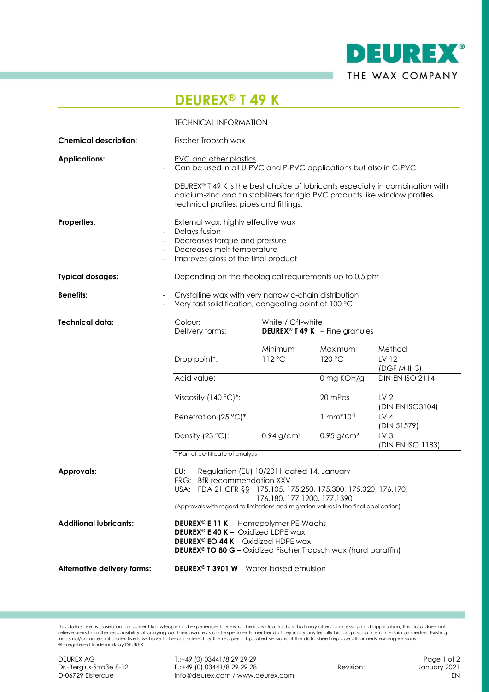

## **DEUREX® T 49 K**

|                               | <b>TECHNICAL INFORMATION</b>                                                                                                                                                                                                                                                        |                                                                       |                          |                                      |
|-------------------------------|-------------------------------------------------------------------------------------------------------------------------------------------------------------------------------------------------------------------------------------------------------------------------------------|-----------------------------------------------------------------------|--------------------------|--------------------------------------|
| <b>Chemical description:</b>  | Fischer Tropsch wax                                                                                                                                                                                                                                                                 |                                                                       |                          |                                      |
| <b>Applications:</b>          | PVC and other plastics<br>Can be used in all U-PVC and P-PVC applications but also in C-PVC                                                                                                                                                                                         |                                                                       |                          |                                      |
|                               | DEUREX® T 49 K is the best choice of lubricants especially in combination with<br>calcium-zinc and tin stabilizers for rigid PVC products like window profiles,<br>technical profiles, pipes and fittings.                                                                          |                                                                       |                          |                                      |
| Properties:                   | External wax, highly effective wax<br>Delays fusion<br>Decreases torque and pressure<br>Decreases melt temperature<br>Improves gloss of the final product                                                                                                                           |                                                                       |                          |                                      |
| <b>Typical dosages:</b>       | Depending on the rheological requirements up to 0.5 phr                                                                                                                                                                                                                             |                                                                       |                          |                                      |
| <b>Benefits:</b>              | Crystalline wax with very narrow c-chain distribution<br>Very fast solidification, congealing point at 100 °C                                                                                                                                                                       |                                                                       |                          |                                      |
| <b>Technical data:</b>        | Colour:<br>Delivery forms:                                                                                                                                                                                                                                                          | White / Off-white<br><b>DEUREX<sup>®</sup> T 49 K</b> = Fine granules |                          |                                      |
|                               |                                                                                                                                                                                                                                                                                     | Minimum                                                               | Maximum                  | Method                               |
|                               | Drop point*:                                                                                                                                                                                                                                                                        | 112 °C                                                                | 120 °C                   | LV 12<br>$(DGF M-III 3)$             |
|                               | Acid value:                                                                                                                                                                                                                                                                         |                                                                       | 0 mg KOH/g               | DIN EN ISO 2114                      |
|                               | Viscosity (140 °C)*:                                                                                                                                                                                                                                                                |                                                                       | 20 mPas                  | LV <sub>2</sub><br>(DIN EN ISO3104)  |
|                               | Penetration (25 °C)*:                                                                                                                                                                                                                                                               |                                                                       | $1 mm*10-1$              | LV <sub>4</sub><br>(DIN 51579)       |
|                               | Density (23 °C):                                                                                                                                                                                                                                                                    | $0.94$ g/cm <sup>3</sup>                                              | $0.95$ g/cm <sup>3</sup> | LV <sub>3</sub><br>(DIN EN ISO 1183) |
|                               | * Part of certificate of analysis                                                                                                                                                                                                                                                   |                                                                       |                          |                                      |
| <b>Approvals:</b>             | EU:<br>Regulation (EU) 10/2011 dated 14. January<br><b>BfR</b> recommendation XXV<br>FRG:<br>USA: FDA 21 CFR §§ 175.105, 175.250, 175.300, 175.320, 176.170,<br>176.180, 177.1200, 177.1390<br>(Approvals with regard to limitations and migration values in the final application) |                                                                       |                          |                                      |
| <b>Additional lubricants:</b> | <b>DEUREX® E 11 K</b> - Homopolymer PE-Wachs<br><b>DEUREX<sup>®</sup> E 40 K</b> - Oxidized LDPE wax<br><b>DEUREX<sup>®</sup> EO 44 K</b> - Oxidized HDPE wax<br><b>DEUREX<sup>®</sup> TO 80 G</b> - Oxidized Fischer Tropsch wax (hard paraffin)                                   |                                                                       |                          |                                      |
| Alternative delivery forms:   | <b>DEUREX<sup>®</sup> T 3901 W</b> – Water-based emulsion                                                                                                                                                                                                                           |                                                                       |                          |                                      |

This data sheet is based on our current knowledge and experience. In view of the individual factors that may affect processing and application, this data does not<br>indiver users from the responsibility of carrying out their